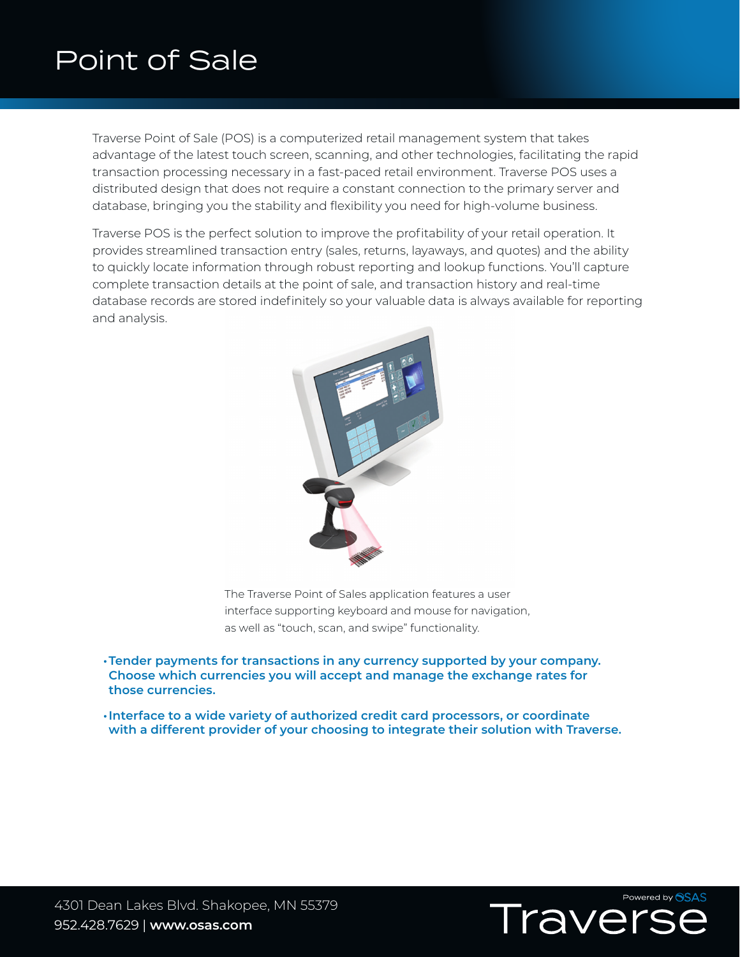## Point of Sale

Traverse Point of Sale (POS) is a computerized retail management system that takes advantage of the latest touch screen, scanning, and other technologies, facilitating the rapid transaction processing necessary in a fast-paced retail environment. Traverse POS uses a distributed design that does not require a constant connection to the primary server and database, bringing you the stability and flexibility you need for high-volume business.

Traverse POS is the perfect solution to improve the profitability of your retail operation. It provides streamlined transaction entry (sales, returns, layaways, and quotes) and the ability to quickly locate information through robust reporting and lookup functions. You'll capture complete transaction details at the point of sale, and transaction history and real-time database records are stored indefinitely so your valuable data is always available for reporting and analysis.



The Traverse Point of Sales application features a user interface supporting keyboard and mouse for navigation, as well as "touch, scan, and swipe" functionality.

- **•Tender payments for transactions in any currency supported by your company. Choose which currencies you will accept and manage the exchange rates for those currencies.**
- **•Interface to a wide variety of authorized credit card processors, or coordinate with a different provider of your choosing to integrate their solution with Traverse.**